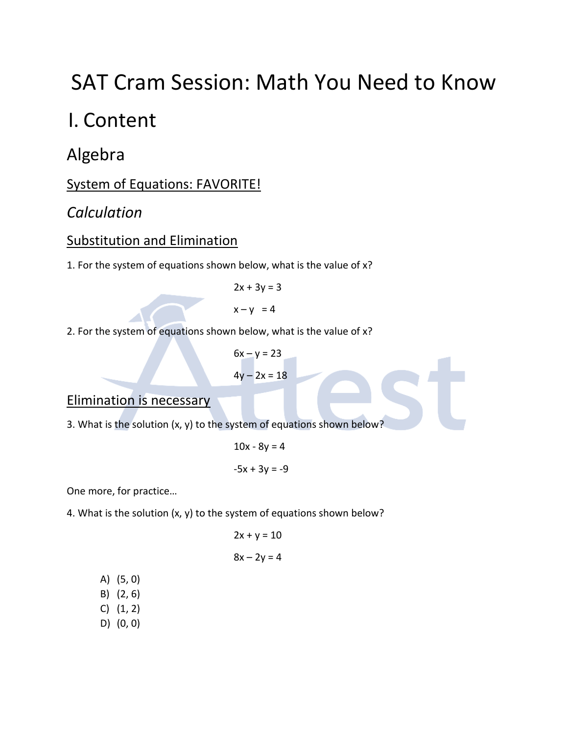# SAT Cram Session: Math You Need to Know

## I. Content

Algebra

System of Equations: FAVORITE!

## *Calculation*

## Substitution and Elimination

1. For the system of equations shown below, what is the value of x?

 $2x + 3y = 3$ 

 $x - y = 4$ 

2. For the system of equations shown below, what is the value of x?

 $6x - y = 23$  $4y - 2x = 18$ 

## Elimination is necessary

3. What is the solution  $(x, y)$  to the system of equations shown below?

$$
10x - 8y = 4
$$

$$
-5x + 3y = -9
$$

One more, for practice…

4. What is the solution  $(x, y)$  to the system of equations shown below?

$$
2x + y = 10
$$

$$
8x - 2y = 4
$$

A) (5, 0) B) (2, 6) C) (1, 2) D) (0, 0)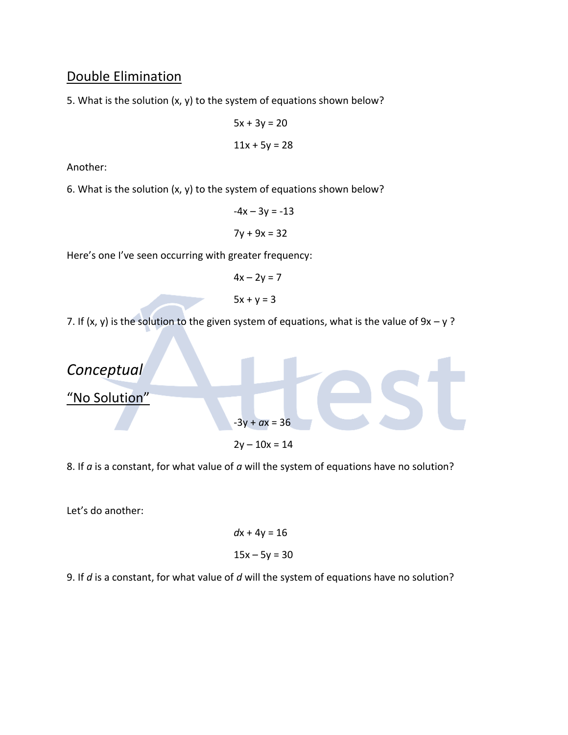## Double Elimination

5. What is the solution (x, y) to the system of equations shown below?

$$
5x + 3y = 20
$$

$$
11x + 5y = 28
$$

Another:

6. What is the solution  $(x, y)$  to the system of equations shown below?

$$
-4x - 3y = -13
$$

$$
7y + 9x = 32
$$

Here's one I've seen occurring with greater frequency:

$$
4x - 2y = 7
$$
  

$$
5x + y = 3
$$

7. If  $(x, y)$  is the solution to the given system of equations, what is the value of  $9x - y$ ?



8. If *a* is a constant, for what value of *a* will the system of equations have no solution?

Let's do another:

$$
dx + 4y = 16
$$

$$
15x - 5y = 30
$$

9. If *d* is a constant, for what value of *d* will the system of equations have no solution?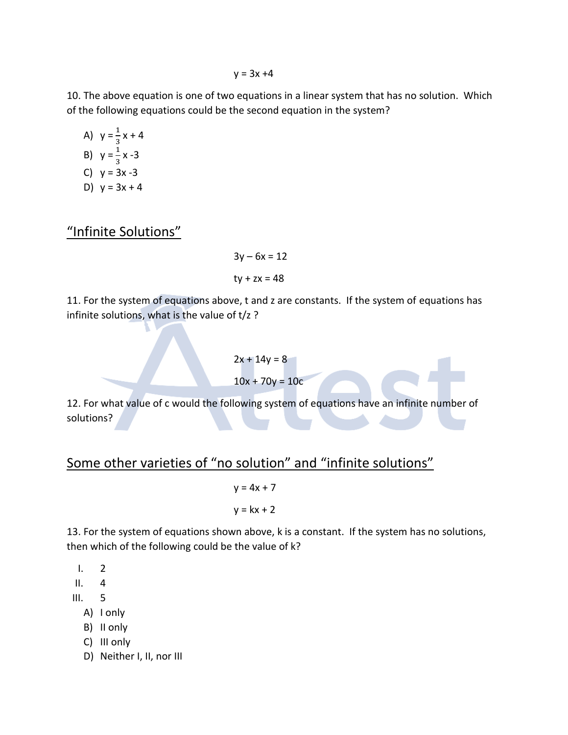$y = 3x + 4$ 

10. The above equation is one of two equations in a linear system that has no solution. Which of the following equations could be the second equation in the system?

A) 
$$
y = \frac{1}{3}x + 4
$$
  
\nB)  $y = \frac{1}{3}x - 3$   
\nC)  $y = 3x - 3$   
\nD)  $y = 3x + 4$ 

"Infinite Solutions"

$$
3y - 6x = 12
$$
  
ty + zx = 48

11. For the system of equations above, t and z are constants. If the system of equations has infinite solutions, what is the value of t/z ?

$$
2x + 14y = 8
$$

$$
10x + 70y = 10c
$$

12. For what value of c would the following system of equations have an infinite number of solutions?

## Some other varieties of "no solution" and "infinite solutions"

$$
y = 4x + 7
$$

$$
y = kx + 2
$$

13. For the system of equations shown above, k is a constant. If the system has no solutions, then which of the following could be the value of k?

 $1. 2$ 

- II. 4
- III. 5
	- A) I only
	- B) II only
	- C) III only
	- D) Neither I, II, nor III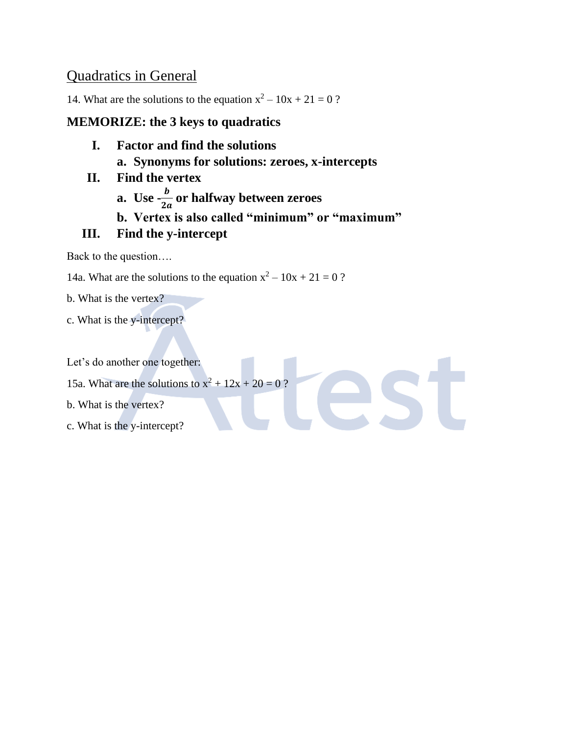## Quadratics in General

14. What are the solutions to the equation  $x^2 - 10x + 21 = 0$ ?

### **MEMORIZE: the 3 keys to quadratics**

- **I. Factor and find the solutions a. Synonyms for solutions: zeroes, x-intercepts**
- **II. Find the vertex**
	- **a.** Use  $-\frac{b}{2}$  $\frac{\nu}{2a}$  or halfway between zeroes
	- **b. Vertex is also called "minimum" or "maximum"**

est

## **III. Find the y-intercept**

Back to the question….

14a. What are the solutions to the equation  $x^2 - 10x + 21 = 0$ ?

- b. What is the vertex?
- c. What is the y-intercept?

Let's do another one together:

- 15a. What are the solutions to  $x^2 + 12x + 20 = 0$ ?
- b. What is the vertex?
- c. What is the y-intercept?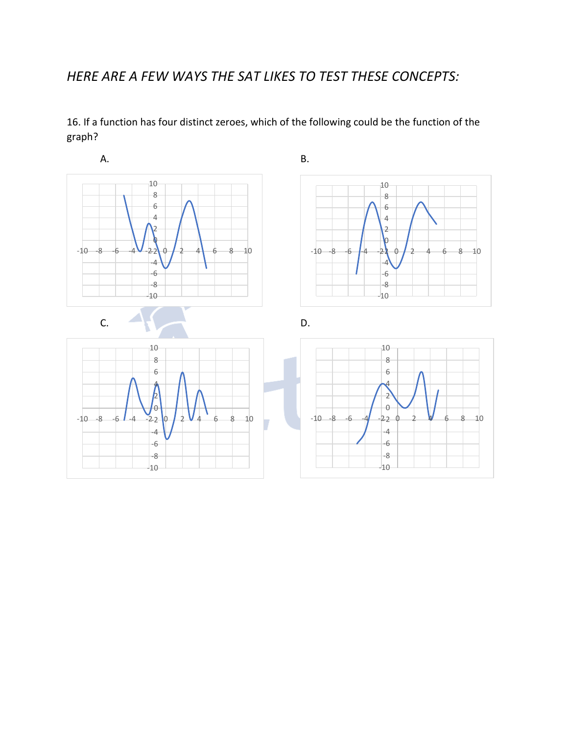## *HERE ARE A FEW WAYS THE SAT LIKES TO TEST THESE CONCEPTS:*

16. If a function has four distinct zeroes, which of the following could be the function of the graph?

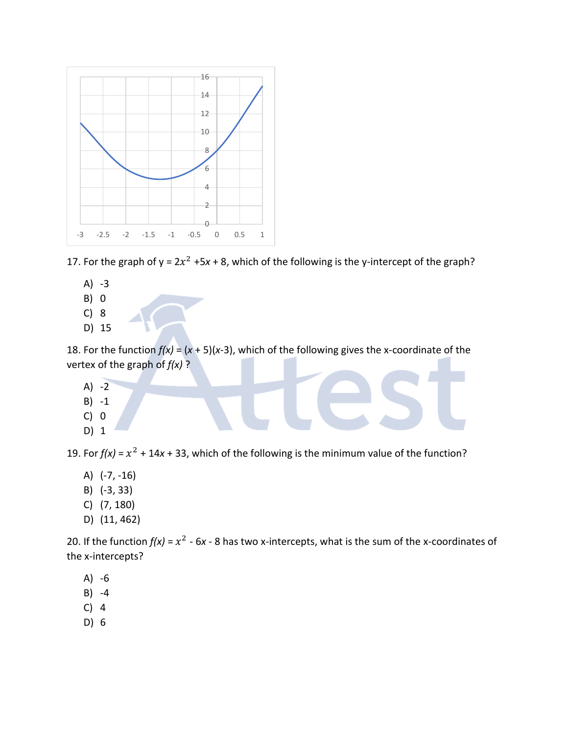

17. For the graph of  $y = 2x^2 +5x + 8$ , which of the following is the y-intercept of the graph?

- A) -3 B) 0
- C) 8
- D) 15

18. For the function  $f(x) = (x + 5)(x-3)$ , which of the following gives the x-coordinate of the vertex of the graph of *f(x)* ?

- $A) -2$ B) -1 C) 0
- D) 1

19. For  $f(x) = x^2 + 14x + 33$ , which of the following is the minimum value of the function?

- A) (-7, -16)
- B) (-3, 33)
- C) (7, 180)
- D) (11, 462)

20. If the function  $f(x) = x^2 - 6x - 8$  has two x-intercepts, what is the sum of the x-coordinates of the x-intercepts?

- A) -6
- B) -4
- C) 4
- D) 6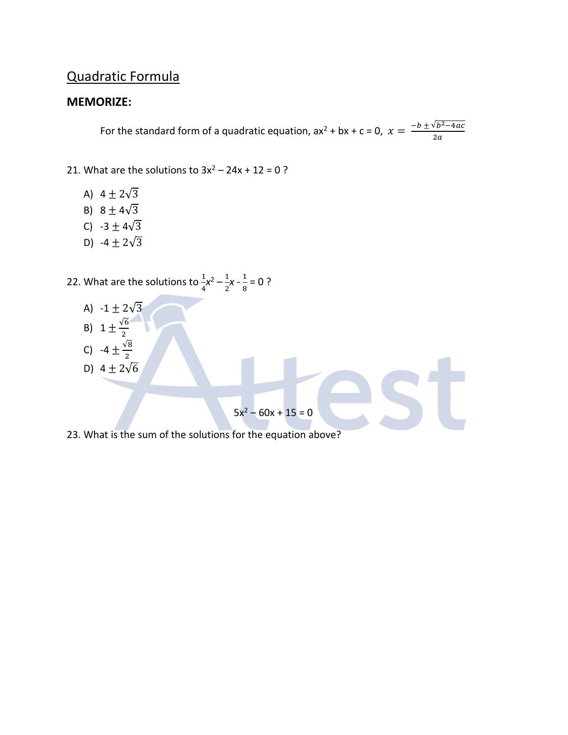## Quadratic Formula

#### **MEMORIZE:**

For the standard form of a quadratic equation, ax<sup>2</sup> + bx + c = 0,  $x = \frac{-b \pm \sqrt{b^2-4ac}}{2a}$  $2a$ 

21. What are the solutions to  $3x^2 - 24x + 12 = 0$ ?

- A)  $4 \pm 2\sqrt{3}$
- B)  $8 \pm 4\sqrt{3}$
- C)  $-3 \pm 4\sqrt{3}$
- D)  $-4 \pm 2\sqrt{3}$

22. What are the solutions to  $\frac{1}{4}x^2-\frac{1}{2}$  $\frac{1}{2}$ **x** -  $\frac{1}{8}$  $\frac{1}{8}$  = 0 ?

- A)  $-1 \pm 2\sqrt{3}$
- B)  $1 \pm \frac{\sqrt{6}}{2}$ 2
- C) -4  $\pm \frac{\sqrt{8}}{2}$
- 2 D)  $4 \pm 2\sqrt{6}$  $5x^2 - 60x + 15 = 0$
- 23. What is the sum of the solutions for the equation above?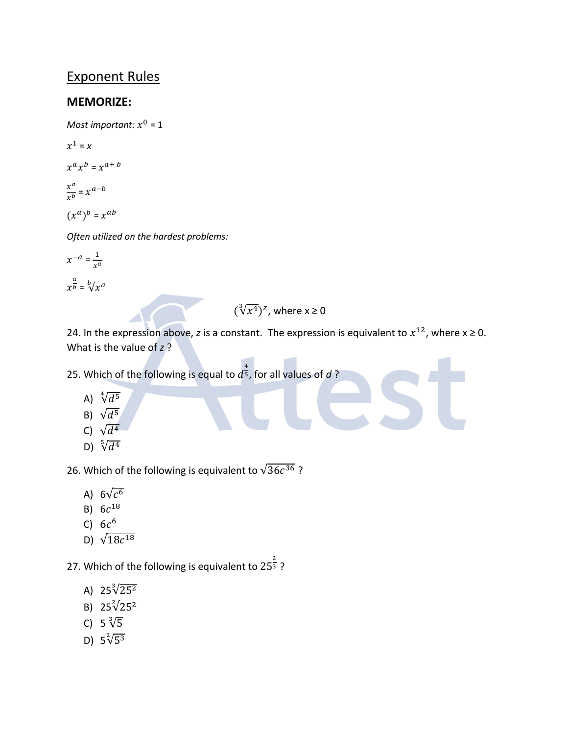## Exponent Rules

#### **MEMORIZE:**

Most important:  $x^0$  = 1

 $x^1 = x$  $x^a x^b = x^{a+b}$  $x^a$  $\frac{x^a}{x^b} = x^{a-b}$ 

 $(x^a)^b = x^{ab}$ 

*Often utilized on the hardest problems:*

 $x^{-a} = \frac{1}{x^a}$  $x^a$  $x^{\frac{a}{b}} = \sqrt[b]{x^a}$ 

## $(\sqrt[3]{x^4})^z$ , where  $x \ge 0$

24. In the expression above, *z* is a constant. The expression is equivalent to  $x^{12}$ , where  $x \ge 0$ . What is the value of *z* ?

25. Which of the following is equal to  $d^{\frac{4}{5}}$ , for all values of  $d$  ?

- A)  $\sqrt[4]{d^5}$
- B)  $\sqrt{d^5}$
- C)  $\sqrt{d^4}$
- D)  $\sqrt[5]{d^4}$

26. Which of the following is equivalent to  $\sqrt{36c^{36}}$  ?

- A) 6 $\sqrt{c^6}$
- B)  $6c^{18}$
- C)  $6c^6$
- D)  $\sqrt{18c^{18}}$

27. Which of the following is equivalent to  $25^{\frac{2}{3}}$ ?

- A) 25 $\sqrt[3]{25^2}$
- B)  $25\sqrt[2]{25^2}$
- C) 5  $\sqrt[3]{5}$
- D)  $5\sqrt[2]{5^3}$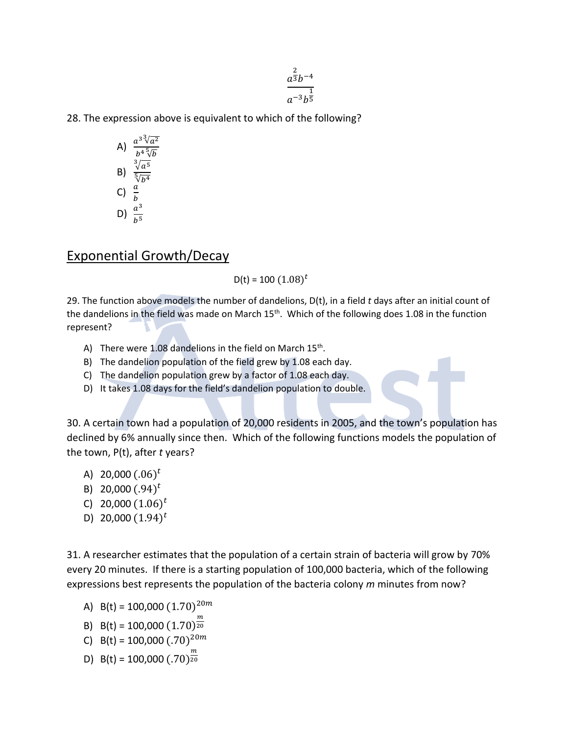$$
\frac{a^{\frac{2}{3}}b^{-4}}{a^{-3}b^{\frac{1}{5}}}
$$

28. The expression above is equivalent to which of the following?

A) 
$$
\frac{a^{3}\sqrt[3]{a^{2}}}{b^{4}\sqrt[5]{b}}
$$
  
B) 
$$
\frac{\sqrt[3]{a^{5}}}{\sqrt[5]{b^{4}}}
$$
  
C) 
$$
\frac{a}{b}
$$
  
D) 
$$
\frac{a^{3}}{b^{5}}
$$

#### Exponential Growth/Decay

D(t) = 100  $(1.08)^t$ 

29. The function above models the number of dandelions, D(t), in a field *t* days after an initial count of the dandelions in the field was made on March  $15<sup>th</sup>$ . Which of the following does 1.08 in the function represent?

- A) There were  $1.08$  dandelions in the field on March  $15<sup>th</sup>$ .
- B) The dandelion population of the field grew by 1.08 each day.
- C) The dandelion population grew by a factor of 1.08 each day.
- D) It takes 1.08 days for the field's dandelion population to double.

30. A certain town had a population of 20,000 residents in 2005, and the town's population has declined by 6% annually since then. Which of the following functions models the population of the town, P(t), after *t* years?

- A) 20,000  $(.06)^t$
- B) 20,000  $(.94)^t$
- C) 20,000  $(1.06)^t$
- D) 20,000  $(1.94)^t$

31. A researcher estimates that the population of a certain strain of bacteria will grow by 70% every 20 minutes. If there is a starting population of 100,000 bacteria, which of the following expressions best represents the population of the bacteria colony *m* minutes from now?

- A) B(t) = 100,000  $(1.70)^{20m}$
- B) B(t) = 100,000  $(1.70)^{\frac{m}{20}}$ 20
- C) B(t) = 100,000  $(.70)^{20m}$
- D) B(t) = 100,000  $(.70)^{\frac{m}{20}}$ 20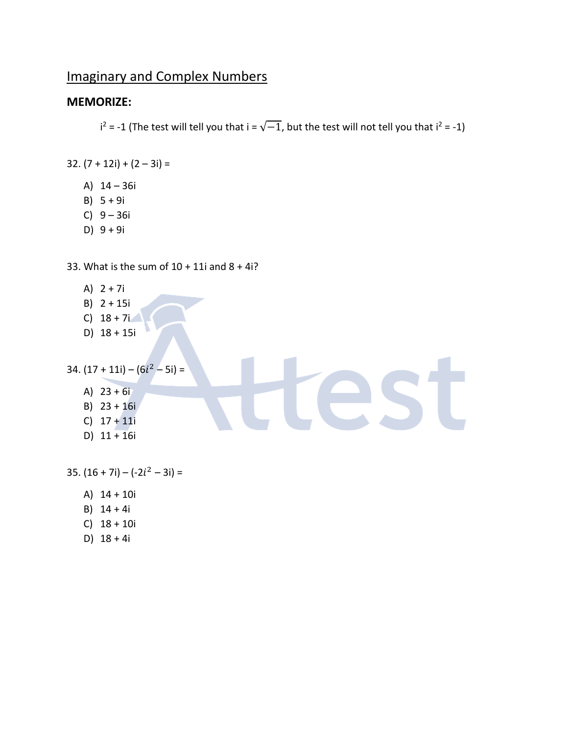## Imaginary and Complex Numbers

#### **MEMORIZE:**

 $i^2$  = -1 (The test will tell you that  $i = \sqrt{-1}$ , but the test will not tell you that  $i^2$  = -1)

25

- 32.  $(7 + 12i) + (2 3i) =$ 
	- A) 14 36i
	- B) 5 + 9i
	- C) 9 36i
	- D) 9 + 9i

33. What is the sum of  $10 + 11i$  and  $8 + 4i$ ?

- A)  $2 + 7i$
- B) 2 + 15i
- $C)$  18 + 7i
- D) 18 + 15i

```
34. (17 + 11i) - (6i<sup>2</sup> - 5i) =
```
- A) 23 + 6i
- B) 23 + 16i
- C) 17 + 11i
- D)  $11 + 16i$

 $35. (16 + 7i) - (-2i^2 - 3i) =$ 

- A) 14 + 10i
- B) 14 + 4i
- C) 18 + 10i
- D) 18 + 4i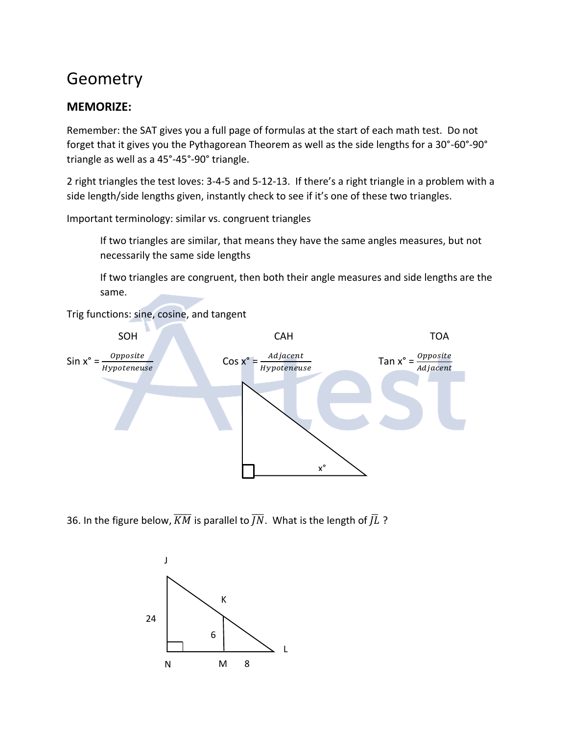## Geometry

### **MEMORIZE:**

Remember: the SAT gives you a full page of formulas at the start of each math test. Do not forget that it gives you the Pythagorean Theorem as well as the side lengths for a 30°-60°-90° triangle as well as a 45°-45°-90° triangle.

2 right triangles the test loves: 3-4-5 and 5-12-13. If there's a right triangle in a problem with a side length/side lengths given, instantly check to see if it's one of these two triangles.

Important terminology: similar vs. congruent triangles

If two triangles are similar, that means they have the same angles measures, but not necessarily the same side lengths

If two triangles are congruent, then both their angle measures and side lengths are the same.

Trig functions: sine, cosine, and tangent



36. In the figure below,  $\overline{KM}$  is parallel to  $\overline{IN}$ . What is the length of  $\overline{J}L$  ?

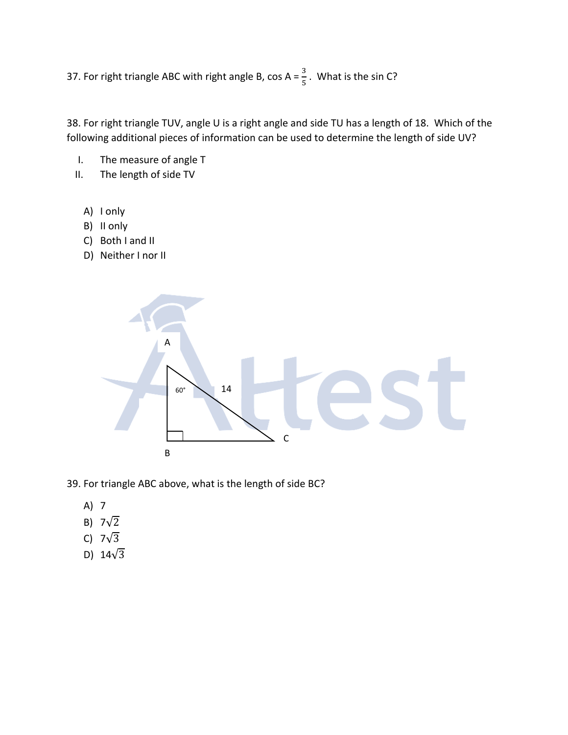37. For right triangle ABC with right angle B, cos A =  $\frac{3}{5}$ . What is the sin C?

38. For right triangle TUV, angle U is a right angle and side TU has a length of 18. Which of the following additional pieces of information can be used to determine the length of side UV?

- I. The measure of angle T
- II. The length of side TV
	- A) I only
	- B) II only
	- C) Both I and II
	- D) Neither I nor II



39. For triangle ABC above, what is the length of side BC?

- A) 7
- B)  $7\sqrt{2}$
- C)  $7\sqrt{3}$
- D)  $14\sqrt{3}$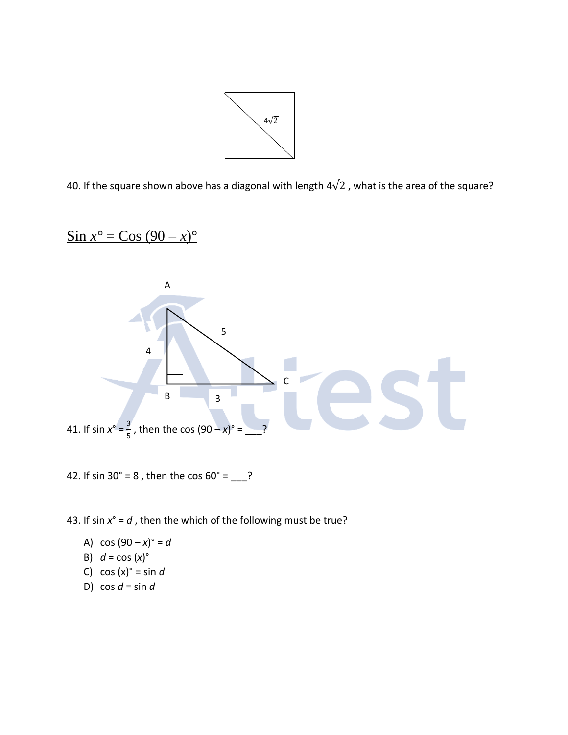

40. If the square shown above has a diagonal with length  $4\sqrt{2}$  , what is the area of the square?

$$
\sin x^{\circ} = \cos (90 - x)^{\circ}
$$



42. If sin  $30^{\circ} = 8$ , then the cos  $60^{\circ} =$  ?

43. If sin *x*° = *d* , then the which of the following must be true?

A)  $cos(90 - x)^{\circ} = d$ 

B) 
$$
d = \cos(x)^{\circ}
$$

- C)  $cos(x)$ <sup>o</sup> = sin *d*
- D)  $\cos d = \sin d$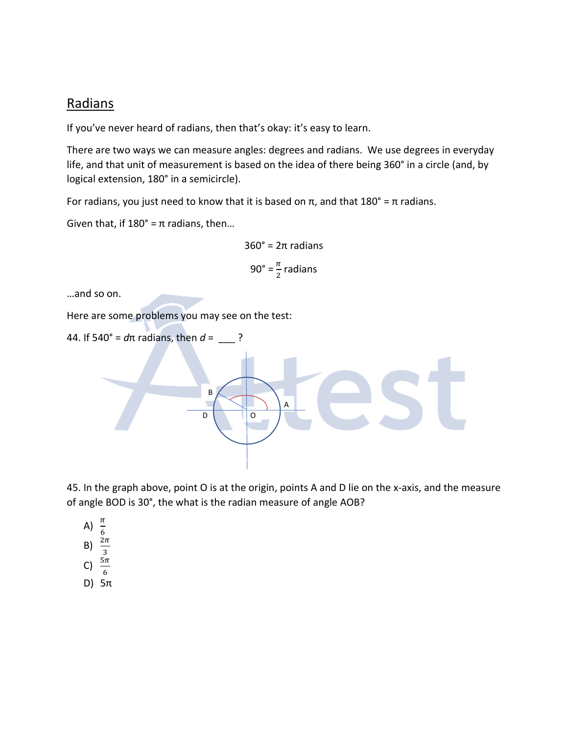### Radians

If you've never heard of radians, then that's okay: it's easy to learn.

There are two ways we can measure angles: degrees and radians. We use degrees in everyday life, and that unit of measurement is based on the idea of there being 360° in a circle (and, by logical extension, 180° in a semicircle).

For radians, you just need to know that it is based on π, and that  $180^\circ = \pi$  radians.

Given that, if  $180^\circ = \pi$  radians, then...

$$
360^\circ = 2\pi \text{ radians}
$$

$$
90^\circ = \frac{\pi}{2} \text{ radians}
$$

…and so on.

Here are some problems you may see on the test:



45. In the graph above, point O is at the origin, points A and D lie on the x-axis, and the measure of angle BOD is 30°, the what is the radian measure of angle AOB?

- A)  $\frac{\pi}{6}$ B)  $\frac{2\pi}{3}$ C)  $\frac{5\pi}{6}$
- D) 5π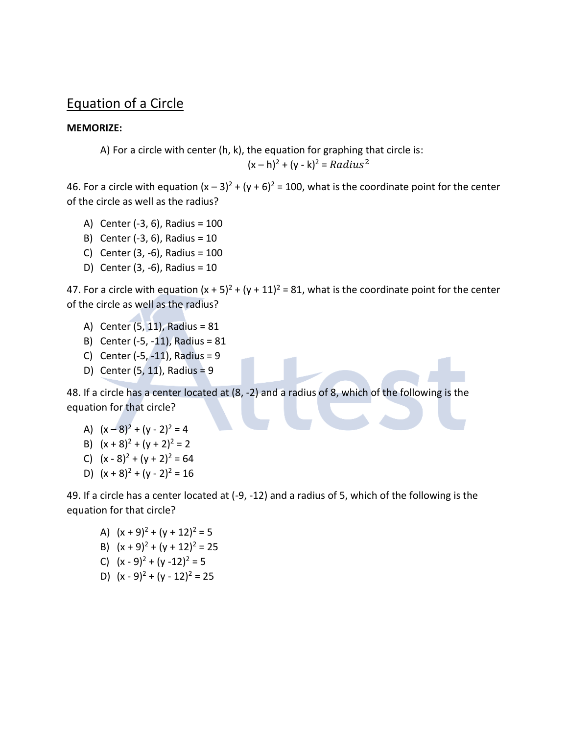### Equation of a Circle

#### **MEMORIZE:**

A) For a circle with center (h, k), the equation for graphing that circle is:  $(x - h)^2 + (y - k)^2 = Radius^2$ 

46. For a circle with equation  $(x - 3)^2 + (y + 6)^2 = 100$ , what is the coordinate point for the center of the circle as well as the radius?

- A) Center (-3, 6), Radius = 100
- B) Center (-3, 6), Radius = 10
- C) Center (3, -6), Radius = 100
- D) Center (3, -6), Radius = 10

47. For a circle with equation  $(x + 5)^2 + (y + 11)^2 = 81$ , what is the coordinate point for the center of the circle as well as the radius?

- A) Center (5, 11), Radius = 81
- B) Center (-5, -11), Radius = 81
- C) Center  $(-5, -11)$ , Radius = 9
- D) Center (5, 11), Radius = 9

48. If a circle has a center located at (8, -2) and a radius of 8, which of the following is the equation for that circle?

- A)  $(x-8)^2 + (y-2)^2 = 4$
- B)  $(x + 8)^2 + (y + 2)^2 = 2$
- C)  $(x 8)^2 + (y + 2)^2 = 64$
- D)  $(x + 8)^2 + (y 2)^2 = 16$

49. If a circle has a center located at (-9, -12) and a radius of 5, which of the following is the equation for that circle?

- A)  $(x + 9)^2 + (y + 12)^2 = 5$
- B)  $(x + 9)^2 + (y + 12)^2 = 25$
- C)  $(x 9)^2 + (y 12)^2 = 5$
- D)  $(x 9)^2 + (y 12)^2 = 25$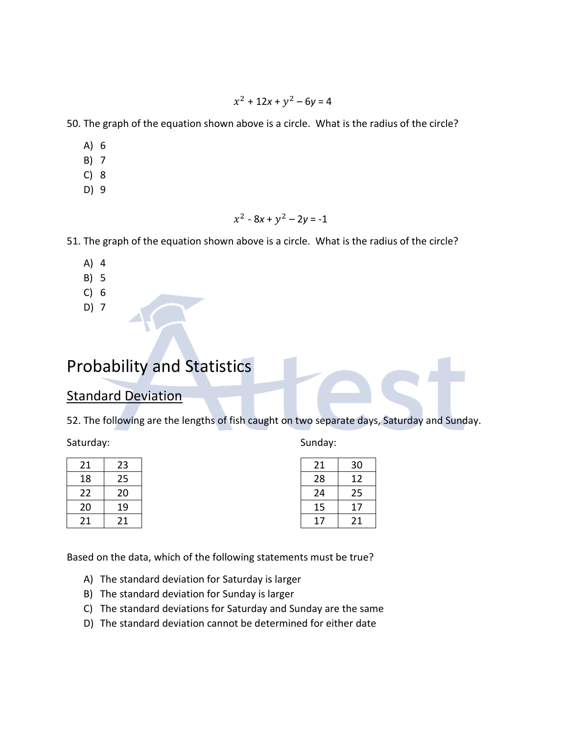$x^2 + 12x + y^2 - 6y = 4$ 

50. The graph of the equation shown above is a circle. What is the radius of the circle?

- A) 6
- B) 7
- C) 8
- D) 9

$$
x^2 - 8x + y^2 - 2y = -1
$$

51. The graph of the equation shown above is a circle. What is the radius of the circle?

- A) 4
- B) 5
- C) 6
- D) 7

## Probability and Statistics

#### Standard Deviation

52. The following are the lengths of fish caught on two separate days, Saturday and Sunday.

Saturday:

| 21 | 23 |
|----|----|
| 18 | 25 |
| 22 | 20 |
| 20 | 19 |
| 21 | 21 |

| Sunday: |  |
|---------|--|
|---------|--|

| 21 | 30 |
|----|----|
| 28 | 12 |
| 24 | 25 |
| 15 | 17 |
| 17 | 21 |
|    |    |

Based on the data, which of the following statements must be true?

- A) The standard deviation for Saturday is larger
- B) The standard deviation for Sunday is larger
- C) The standard deviations for Saturday and Sunday are the same
- D) The standard deviation cannot be determined for either date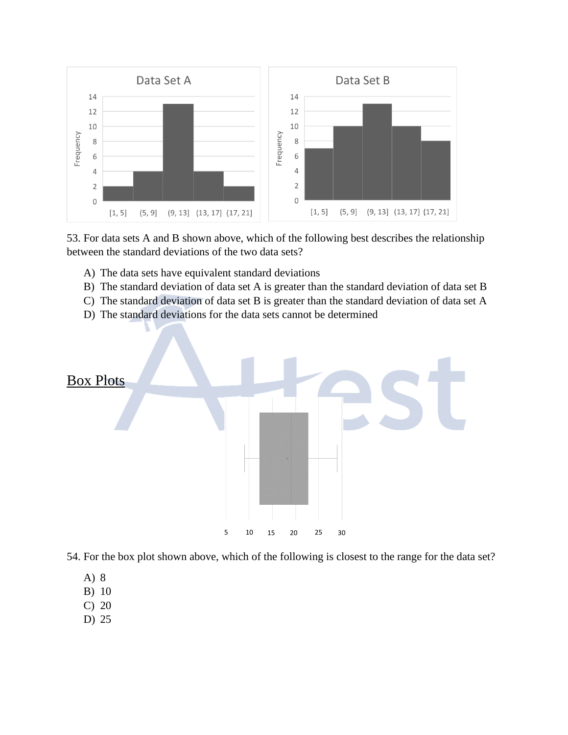

53. For data sets A and B shown above, which of the following best describes the relationship between the standard deviations of the two data sets?

- A) The data sets have equivalent standard deviations
- B) The standard deviation of data set A is greater than the standard deviation of data set B
- C) The standard deviation of data set B is greater than the standard deviation of data set A
- D) The standard deviations for the data sets cannot be determined



54. For the box plot shown above, which of the following is closest to the range for the data set?

- A) 8
- B) 10
- C) 20
- D) 25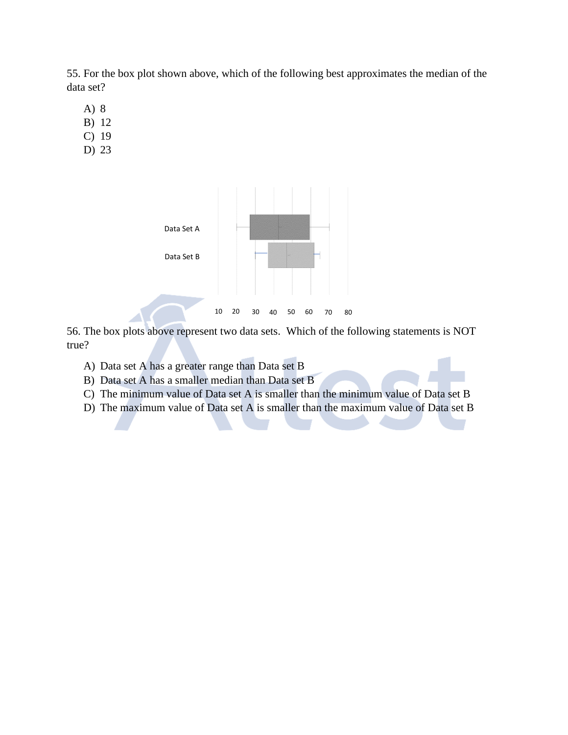55. For the box plot shown above, which of the following best approximates the median of the data set?

- A) 8
- B) 12
- C) 19
- D) 23



56. The box plots above represent two data sets. Which of the following statements is NOT true?

- A) Data set A has a greater range than Data set B
- B) Data set A has a smaller median than Data set B
- C) The minimum value of Data set A is smaller than the minimum value of Data set B
- D) The maximum value of Data set A is smaller than the maximum value of Data set B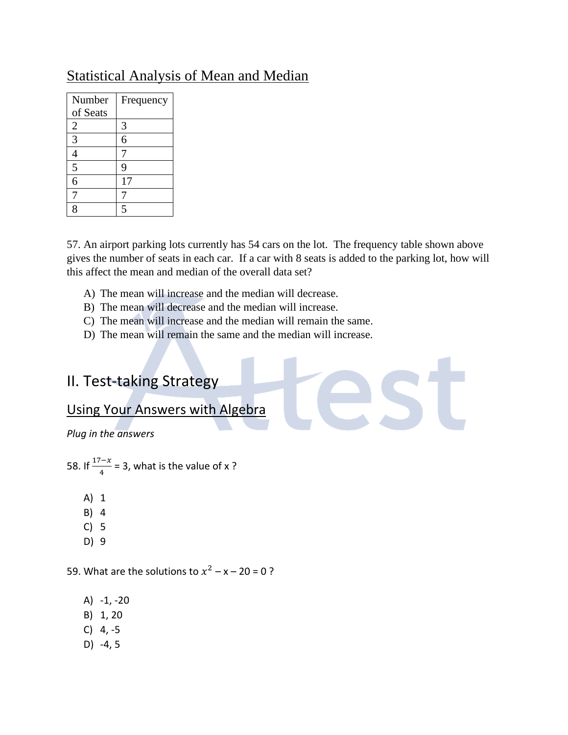## Statistical Analysis of Mean and Median

| Number         | Frequency |
|----------------|-----------|
| of Seats       |           |
| $\overline{2}$ | 3         |
| 3              | 6         |
| 4              |           |
| 5              | 9         |
| 6              | 17        |
|                |           |
| $\overline{S}$ | 5         |

57. An airport parking lots currently has 54 cars on the lot. The frequency table shown above gives the number of seats in each car. If a car with 8 seats is added to the parking lot, how will this affect the mean and median of the overall data set?

- A) The mean will increase and the median will decrease.
- B) The mean will decrease and the median will increase.
- C) The mean will increase and the median will remain the same.
- D) The mean will remain the same and the median will increase.

## II. Test-taking Strategy

## Using Your Answers with Algebra

*Plug in the answers*

58. If  $\frac{17-x}{4}$  = 3, what is the value of x ?

- A) 1
- B) 4
- C) 5
- D) 9

59. What are the solutions to  $x^2 - x - 20 = 0$ ?

- A) -1, -20
- B) 1, 20
- $C) 4, -5$
- D) -4, 5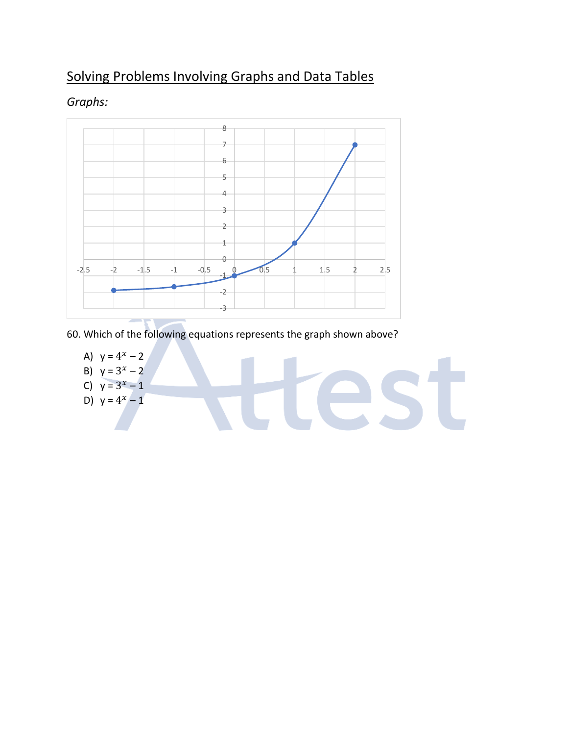## Solving Problems Involving Graphs and Data Tables



#### *Graphs:*

60. Which of the following equations represents the graph shown above?

A)  $y = 4^x - 2$ B)  $y = 3^x - 2$ es: C)  $y = 3^x - 1$ D)  $y = 4^x - 1$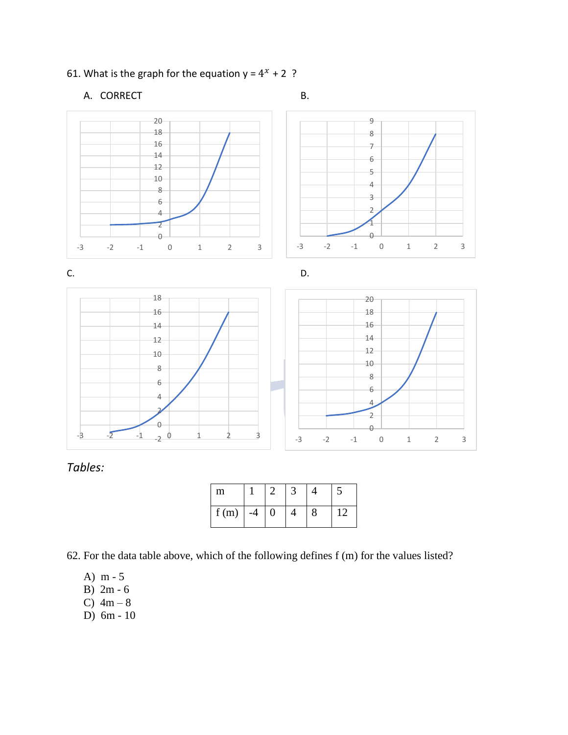#### 61. What is the graph for the equation  $y = 4^x + 2$ ?

A. CORRECT B.





*Tables:*

| m    |      |   |  |  |
|------|------|---|--|--|
| f(m) | $-4$ | 0 |  |  |

62. For the data table above, which of the following defines f (m) for the values listed?

- A) m 5
- B) 2m 6
- C)  $4m 8$
- D) 6m 10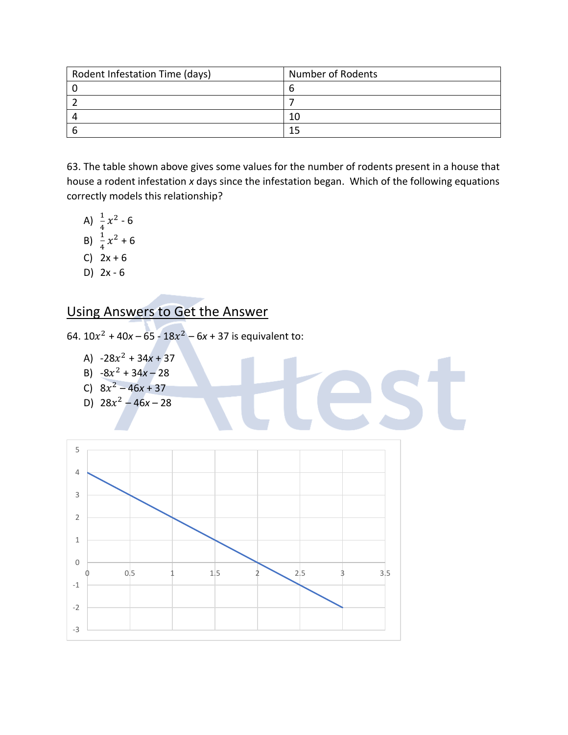| Rodent Infestation Time (days) | <b>Number of Rodents</b> |
|--------------------------------|--------------------------|
|                                |                          |
|                                |                          |
|                                | 10                       |
|                                |                          |

63. The table shown above gives some values for the number of rodents present in a house that house a rodent infestation *x* days since the infestation began. Which of the following equations correctly models this relationship?

- A)  $\frac{1}{4}x^2 6$
- B)  $\frac{1}{4}x^2 + 6$
- C)  $2x + 6$
- D) 2x 6

## Using Answers to Get the Answer

64.  $10x^2 + 40x - 65 - 18x^2 - 6x + 37$  is equivalent to:

- A)  $-28x^2 + 34x + 37$
- B)  $-8x^2 + 34x 28$
- C)  $8x^2 46x + 37$
- D)  $28x^2 46x 28$

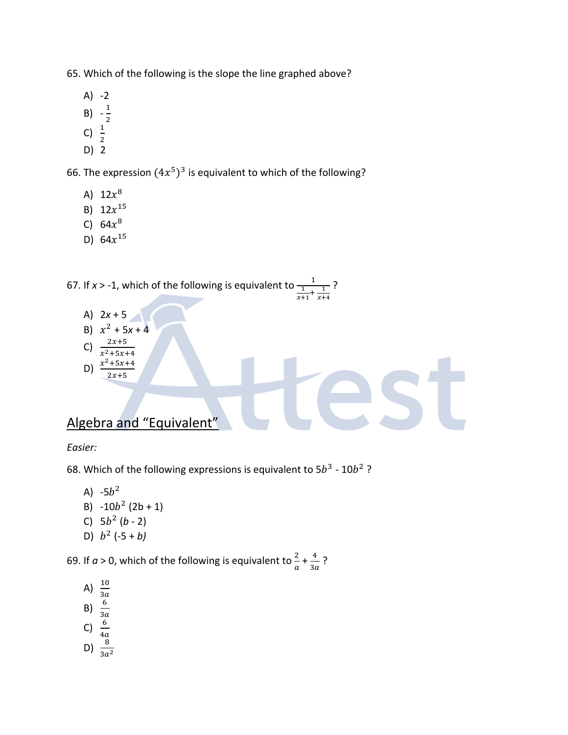65. Which of the following is the slope the line graphed above?

- $A) -2$
- B)  $-\frac{1}{2}$
- 2
- C)  $\frac{1}{2}$
- D) 2

66. The expression  $(4x^5)^3$  is equivalent to which of the following?

- A)  $12x^8$
- B)  $12x^{15}$
- C)  $64x^8$
- D)  $64x^{15}$

67. If *x* > -1, which of the following is equivalent to  $\frac{1}{1}$  $\frac{1}{x+1} + \frac{1}{x+1}$ ?

 $x+4$ 

A)  $2x + 5$ B)  $x^2 + 5x + 4$ C)  $\frac{2x+5}{x^2+5x+4}$ D)  $x^2 + 5x + 4$ 

 $2x+5$ 

Algebra and "Equivalent"

*Easier:*

68. Which of the following expressions is equivalent to  $5b^3$  -  $10b^2$ ?

- A) -5 $b^2$
- B)  $-10b^2 (2b + 1)$
- C)  $5b^2$  (*b* 2)
- D)  $b^2$  (-5 + *b*)

69. If  $a > 0$ , which of the following is equivalent to  $\frac{2}{a} + \frac{4}{3a}$  $\frac{1}{3a}$  ?

- A)  $\frac{10}{3a}$
- 
- B)  $\frac{6}{3a}$
- C)  $\frac{6}{4a}$
- D)  $\frac{8}{3a^2}$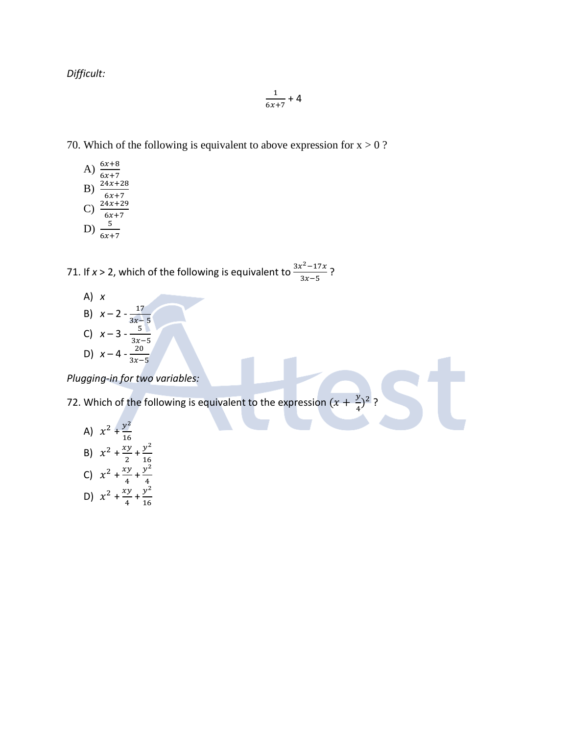*Difficult:*

$$
\frac{1}{6x+7}+4
$$

70. Which of the following is equivalent to above expression for  $x > 0$ ?

A)  $\frac{6x+8}{6x+7}$ B)  $\frac{24x+28}{6x+7}$ C)  $\frac{24x+29}{6x+7}$ D)  $\frac{5}{6x+7}$ 

71. If *x* > 2, which of the following is equivalent to  $\frac{3x^2-17x}{x^2}$  $\frac{x-1/x}{3x-5}$ ?

A) *x* B)  $x - 2 - \frac{17}{3x}$  $3x-5$ C)  $x - 3 - \frac{5}{3x}$  $3x-5$ D)  $x - 4 - \frac{20}{3x}$  $3x-5$ 

*Plugging-in for two variables:*

72. Which of the following is equivalent to the expression  $(x + \frac{y}{4})$  $\frac{y}{4}$ ?

A) 
$$
x^2 + \frac{y^2}{16}
$$
  
\nB)  $x^2 + \frac{xy}{2} + \frac{y^2}{16}$   
\nC)  $x^2 + \frac{xy}{4} + \frac{y^2}{4}$   
\nD)  $x^2 + \frac{xy}{4} + \frac{y^2}{16}$